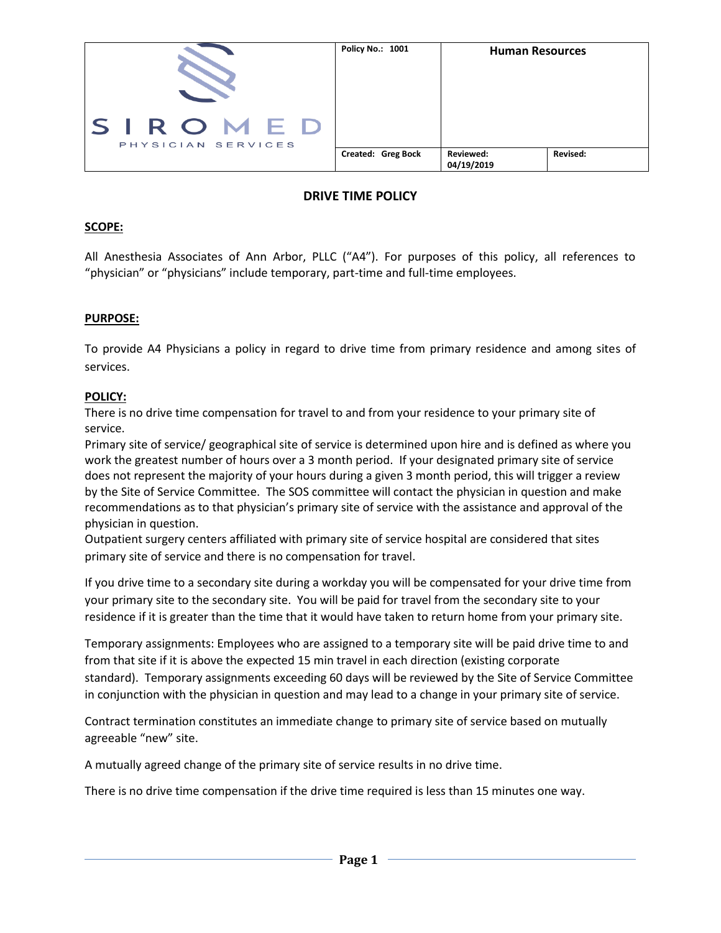

# **DRIVE TIME POLICY**

### **SCOPE:**

All Anesthesia Associates of Ann Arbor, PLLC ("A4"). For purposes of this policy, all references to "physician" or "physicians" include temporary, part-time and full-time employees.

## **PURPOSE:**

To provide A4 Physicians a policy in regard to drive time from primary residence and among sites of services.

### **POLICY:**

There is no drive time compensation for travel to and from your residence to your primary site of service.

Primary site of service/ geographical site of service is determined upon hire and is defined as where you work the greatest number of hours over a 3 month period. If your designated primary site of service does not represent the majority of your hours during a given 3 month period, this will trigger a review by the Site of Service Committee. The SOS committee will contact the physician in question and make recommendations as to that physician's primary site of service with the assistance and approval of the physician in question.

Outpatient surgery centers affiliated with primary site of service hospital are considered that sites primary site of service and there is no compensation for travel.

If you drive time to a secondary site during a workday you will be compensated for your drive time from your primary site to the secondary site. You will be paid for travel from the secondary site to your residence if it is greater than the time that it would have taken to return home from your primary site.

Temporary assignments: Employees who are assigned to a temporary site will be paid drive time to and from that site if it is above the expected 15 min travel in each direction (existing corporate standard). Temporary assignments exceeding 60 days will be reviewed by the Site of Service Committee in conjunction with the physician in question and may lead to a change in your primary site of service.

Contract termination constitutes an immediate change to primary site of service based on mutually agreeable "new" site.

A mutually agreed change of the primary site of service results in no drive time.

There is no drive time compensation if the drive time required is less than 15 minutes one way.